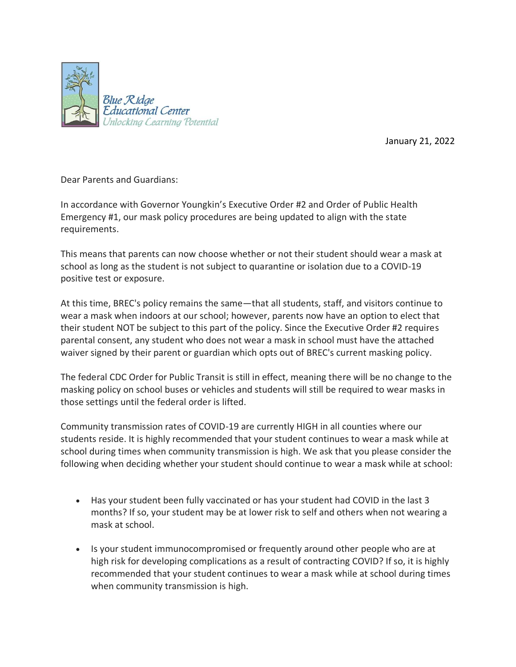

January 21, 2022

Dear Parents and Guardians:

In accordance with Governor Youngkin's Executive Order #2 and Order of Public Health Emergency #1, our mask policy procedures are being updated to align with the state requirements.

This means that parents can now choose whether or not their student should wear a mask at school as long as the student is not subject to quarantine or isolation due to a COVID-19 positive test or exposure.

At this time, BREC's policy remains the same—that all students, staff, and visitors continue to wear a mask when indoors at our school; however, parents now have an option to elect that their student NOT be subject to this part of the policy. Since the Executive Order #2 requires parental consent, any student who does not wear a mask in school must have the attached waiver signed by their parent or guardian which opts out of BREC's current masking policy.

The federal CDC Order for Public Transit is still in effect, meaning there will be no change to the masking policy on school buses or vehicles and students will still be required to wear masks in those settings until the federal order is lifted.

Community transmission rates of COVID-19 are currently HIGH in all counties where our students reside. It is highly recommended that your student continues to wear a mask while at school during times when community transmission is high. We ask that you please consider the following when deciding whether your student should continue to wear a mask while at school:

- Has your student been fully vaccinated or has your student had COVID in the last 3 months? If so, your student may be at lower risk to self and others when not wearing a mask at school.
- Is your student immunocompromised or frequently around other people who are at high risk for developing complications as a result of contracting COVID? If so, it is highly recommended that your student continues to wear a mask while at school during times when community transmission is high.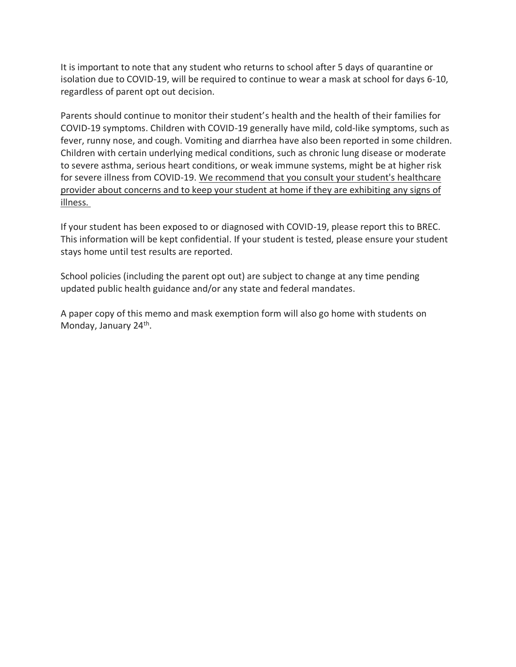It is important to note that any student who returns to school after 5 days of quarantine or isolation due to COVID-19, will be required to continue to wear a mask at school for days 6-10, regardless of parent opt out decision.

Parents should continue to monitor their student's health and the health of their families for COVID-19 symptoms. Children with COVID-19 generally have mild, cold-like symptoms, such as fever, runny nose, and cough. Vomiting and diarrhea have also been reported in some children. Children with certain underlying medical conditions, such as chronic lung disease or moderate to severe asthma, serious heart conditions, or weak immune systems, might be at higher risk for severe illness from COVID-19. We recommend that you consult your student's healthcare provider about concerns and to keep your student at home if they are exhibiting any signs of illness.

If your student has been exposed to or diagnosed with COVID-19, please report this to BREC. This information will be kept confidential. If your student is tested, please ensure your student stays home until test results are reported.

School policies (including the parent opt out) are subject to change at any time pending updated public health guidance and/or any state and federal mandates.

A paper copy of this memo and mask exemption form will also go home with students on Monday, January 24<sup>th</sup>.